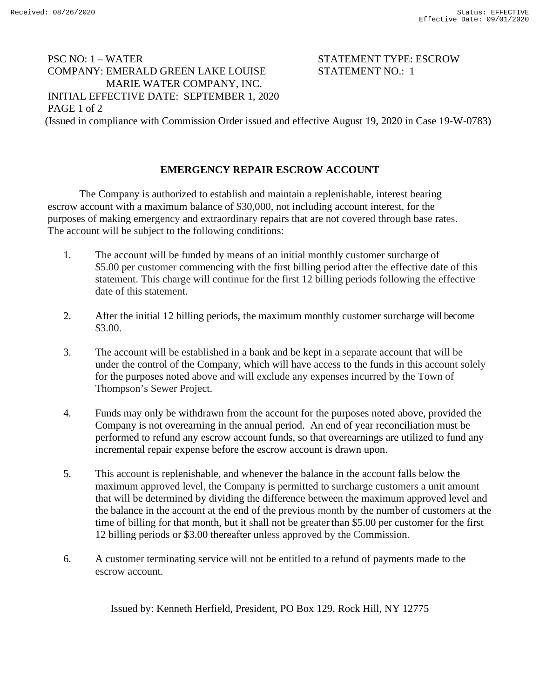## PSC NO: 1 – WATER STATEMENT TYPE: ESCROW COMPANY: EMERALD GREEN LAKE LOUISE STATEMENT NO.: 1 MARIE WATER COMPANY, INC. INITIAL EFFECTIVE DATE: SEPTEMBER 1, 2020 PAGE 1 of 2 (Issued in compliance with Commission Order issued and effective August 19, 2020 in Case 19-W-0783)

## **EMERGENCY REPAIR ESCROW ACCOUNT**

The Company is authorized to establish and maintain a replenishable, interest bearing escrow account with a maximum balance of \$30,000, not including account interest, for the purposes of making emergency and extraordinary repairs that are not covered through base rates. The account will be subject to the following conditions:

- 1. The account will be funded by means of an initial monthly customer surcharge of \$5.00 per customer commencing with the first billing period after the effective date of this statement. This charge will continue for the first 12 billing periods following the effective date of this statement.
- 2. After the initial 12 billing periods, the maximum monthly customer surcharge will become \$3.00.
- 3. The account will be established in a bank and be kept in a separate account that will be under the control of the Company, which will have access to the funds in this account solely for the purposes noted above and will exclude any expenses incurred by the Town of Thompson's Sewer Project.
- 4. Funds may only be withdrawn from the account for the purposes noted above, provided the Company is not overearning in the annual period. An end of year reconciliation must be performed to refund any escrow account funds, so that overearnings are utilized to fund any incremental repair expense before the escrow account is drawn upon.
- 5. This account is replenishable, and whenever the balance in the account falls below the maximum approved level, the Company is permitted to surcharge customers a unit amount that will be determined by dividing the difference between the maximum approved level and the balance in the account at the end of the previous month by the number of customers at the time of billing for that month, but it shall not be greater than \$5.00 per customer for the first 12 billing periods or \$3.00 thereafter unless approved by the Commission.
- 6. A customer terminating service will not be entitled to a refund of payments made to the escrow account.

Issued by: Kenneth Herfield, President, PO Box 129, Rock Hill, NY 12775